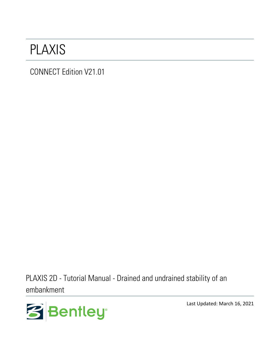# PLAXIS

CONNECT Edition V21.01

PLAXIS 2D - Tutorial Manual - Drained and undrained stability of an embankment



Last Updated: March 16, 2021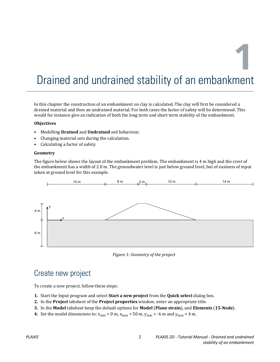**1**

# Drained and undrained stability of an embankment

In this chapter the construction of an embankment on clay is calculated. The clay will first be considered a drained material and then an undrained material. For both cases the factor of safety will be determined. This would for instance give an indication of both the long term and short term stability of the embankment.

#### **Objectives**

- Modelling **Drained** and **Undrained** soil behaviour.
- Changing material sets during the calculation.
- Calculating a factor of safety.

#### **Geometry**

The figure below shows the layout of the embankment problem. The embankment is 4 m high and the crest of the embankment has a width of 2.0 m. The groundwater level is just below ground level, but of easiness of input taken at ground level for this example.



*Figure 1: Geometry of the project*

## Create new project

To create a new project, follow these steps:

- **1.** Start the Input program and select **Start a new project** from the **Quick select** dialog box.
- **2.** In the **Project** tabsheet of the **Project properties** window, enter an appropriate title.
- **3.** In the **Model** tabsheet keep the default options for **Model** (**Plane strain**), and **Elements** (**15-Node**).
- **4.** Set the model dimensions to:  $x_{\text{min}} = 0$  m,  $x_{\text{max}} = 50$  m,  $y_{\text{min}} = -6$  m and  $y_{\text{max}} = 4$  m.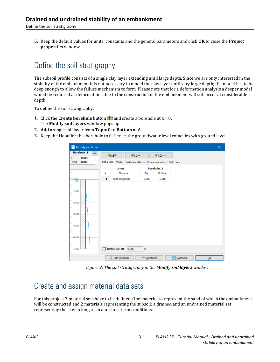Define the soil stratigraphy

**5.** Keep the default values for units, constants and the general parameters and click **OK** to close the **Project properties** window.

# Define the soil stratigraphy

The subsoil profile consists of a single clay layer extending until large depth. Since we are only interested in the stability of the embankment it is not necessary to model the clay layer until very large depth; the model has to be deep enough to allow the failure mechanism to form. Please note that for a deformation analysis a deeper model would be required as deformations due to the construction of the embankment will still occur at considerable depth.

To define the soil stratigraphy:

- **1.** Click the **Create borehole** button **for a** and create a borehole at  $x = 0$ . The **Modify soil layers** window pops up.
- **2. Add** a single soil layer from **Top** = 0 to **Bottom** = -6.
- **3.** Keep the **Head** for this borehole to 0. Hence, the groundwater level coincides with ground level.

|             | Modify soil layers         |                   |              |                         |                          |       |                    |               |                             |  | $\Box$                             | $\times$ |
|-------------|----------------------------|-------------------|--------------|-------------------------|--------------------------|-------|--------------------|---------------|-----------------------------|--|------------------------------------|----------|
| $\mathbf x$ | <b>Borehole_1</b><br>0.000 | $\leftrightarrow$ | Add          |                         | Insert                   |       |                    | <b>Delete</b> |                             |  |                                    |          |
| Head        | 0.000                      |                   | Soil layers  |                         | Water Initial conditions |       |                    |               | Preconsolidation Field data |  |                                    |          |
|             |                            |                   |              | Layers                  |                          |       | <b>Borehole_1</b>  |               |                             |  |                                    |          |
|             |                            |                   | #            | Material                |                          | Top   |                    | Bottom        |                             |  |                                    |          |
| 0.000       |                            |                   | $\mathbf{1}$ | <not assigned=""></not> |                          | 0.000 |                    | $-6.000$      |                             |  |                                    |          |
|             |                            |                   |              |                         |                          |       |                    |               |                             |  |                                    |          |
| $-1.000 -$  |                            |                   |              |                         |                          |       |                    |               |                             |  |                                    |          |
|             |                            |                   |              |                         |                          |       |                    |               |                             |  |                                    |          |
| $-2,000$    |                            |                   |              |                         |                          |       |                    |               |                             |  |                                    |          |
|             |                            |                   |              |                         |                          |       |                    |               |                             |  |                                    |          |
| $-3,000-$   |                            |                   |              |                         |                          |       |                    |               |                             |  |                                    |          |
|             |                            |                   |              |                         |                          |       |                    |               |                             |  |                                    |          |
|             |                            |                   |              |                         |                          |       |                    |               |                             |  |                                    |          |
| $-4,000-$   |                            |                   |              |                         |                          |       |                    |               |                             |  |                                    |          |
|             |                            |                   |              |                         |                          |       |                    |               |                             |  |                                    |          |
| $-5,000$    |                            |                   |              |                         |                          |       |                    |               |                             |  |                                    |          |
|             |                            |                   |              |                         |                          |       |                    |               |                             |  |                                    |          |
| $-6,000$    |                            |                   |              | Bottom cut-off          | 0.000                    | m     |                    |               |                             |  |                                    |          |
|             |                            |                   | ₹            | Site response           |                          |       | <b>图</b> Boreholes |               | <b>Materials</b>            |  | $\underline{\mathsf{O}}\mathsf{K}$ |          |

*Figure 2: The soil stratigraphy in the Modify soil layers window*

# Create and assign material data sets

For this project 3 material sets have to be defined. One material to represent the sand of which the embankment will be constructed and 2 materials representing the subsoil: a drained and an undrained material set representing the clay in long term and short term conditions.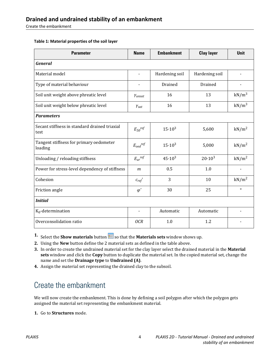Create the embankment

#### **Table 1: Material properties of the soil layer**

| <b>Parameter</b>                                      | <b>Name</b>                       | <b>Embankment</b> | <b>Clay layer</b> | Unit              |  |
|-------------------------------------------------------|-----------------------------------|-------------------|-------------------|-------------------|--|
| <b>General</b>                                        |                                   |                   |                   |                   |  |
| Material model                                        |                                   | Hardening soil    | Hardening soil    |                   |  |
| Type of material behaviour                            |                                   | Drained           | Drained           |                   |  |
| Soil unit weight above phreatic level                 | Yunsat                            | 16                | 13                | kN/m <sup>3</sup> |  |
| Soil unit weight below phreatic level                 | $\gamma_{\text{sat}}$             | 16                | 13                | $kN/m^3$          |  |
| <b>Parameters</b>                                     |                                   |                   |                   |                   |  |
| Secant stiffness in standard drained triaxial<br>test | $E_{50}$ ref                      | $15 \cdot 10^{3}$ | 5,600             | kN/m <sup>2</sup> |  |
| Tangent stiffness for primary oedometer<br>loading    | $E_{\textit{oed}}^{\textit{ref}}$ | $15 \cdot 10^3$   | 5,000             | kN/m <sup>2</sup> |  |
| Unloading / reloading stiffness                       | $E_{ur}$ ref                      | $45.10^{3}$       | $20.10^{3}$       | kN/m <sup>2</sup> |  |
| Power for stress-level dependency of stiffness        | $\mathfrak{m}$                    | 0.5               | 1.0               |                   |  |
| Cohesion                                              | $c_{ref}$ '                       | 3                 | 10                | kN/m <sup>2</sup> |  |
| Friction angle                                        | $\varphi'$                        | 30                | 25                | $\circ$           |  |
| <b>Initial</b>                                        |                                   |                   |                   |                   |  |
| $K_0$ -determination                                  | $\overline{\phantom{0}}$          | Automatic         | Automatic         |                   |  |
| Overconsolidation ratio                               | <b>OCR</b>                        | 1.0               | 1.2               |                   |  |

**1.** Select the **Show materials** button so that the **Materials sets** window shows up.

**2.** Using the **New** button define the 2 material sets as defined in the table above.

**3.** In order to create the undrained material set for the clay layer select the drained material in the **Material sets** window and click the **Copy** button to duplicate the material set. In the copied material set, change the name and set the **Drainage type** to **Undrained (A)**.

**4.** Assign the material set representing the drained clay to the subsoil.

# Create the embankment

We will now create the embankment. This is done by defining a soil polygon after which the polygon gets assigned the material set representing the embankment material.

**1.** Go to **Structures** mode.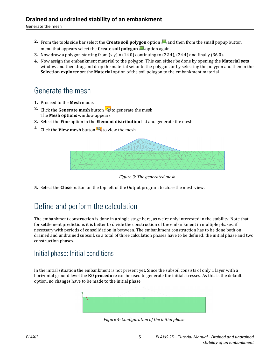- **2.** From the tools side bar select the **Create soil polygon** option **a** and then from the small popup button menu that appears select the **Create soil polygon o** option again.
- **3.** Now draw a polygon starting from  $(x y) = (140)$  continuing to  $(224)$ ,  $(244)$  and finally  $(360)$ .
- **4.** Now assign the embankment material to the polygon. This can either be done by opening the **Material sets** window and then drag and drop the material set onto the polygon, or by selecting the polygon and then in the **Selection explorer** set the **Material** option of the soil polygon to the embankment material.

# Generate the mesh

- **1.** Proceed to the **Mesh** mode.
- **2.** Click the **Generate mesh** button **the generate the mesh.** The **Mesh options** window appears.
- **3.** Select the **Fine** option in the **Element distribution** list and generate the mesh
- **4.** Click the **View mesh** button **R** to view the mesh



*Figure 3: The generated mesh*

**5.** Select the **Close** button on the top left of the Output program to close the mesh view.

## Define and perform the calculation

The embankment construction is done in a single stage here, as we're only interested in the stability. Note that for settlement predictions it is better to divide the construction of the embankment in multiple phases, if necessary with periods of consolidation in between. The embankment construction has to be done both on drained and undrained subsoil, so a total of three calculation phases have to be defined: the initial phase and two construction phases.

### Initial phase: Initial conditions

In the initial situation the embankment is not present yet. Since the subsoil consists of only 1 layer with a horizontal ground level the **K0 procedure** can be used to generate the initial stresses. As this is the default option, no changes have to be made to the initial phase.



*Figure 4: Configuration of the initial phase*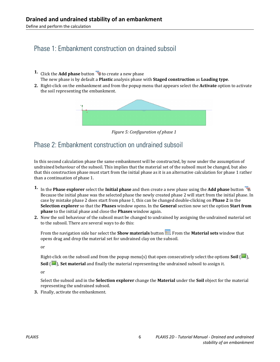Define and perform the calculation

### Phase 1: Embankment construction on drained subsoil

- **1.** Click the **Add phase** button **the create a new phase** The new phase is by default a **Plastic** analysis phase with **Staged construction** as **Loading type**.
- **2.** Right-click on the embankment and from the popup menu that appears select the **Activate** option to activate the soil representing the embankment.



*Figure 5: Configuration of phase 1*

### Phase 2: Embankment construction on undrained subsoil

In this second calculation phase the same embankment will be constructed, by now under the assumption of undrained behaviour of the subsoil. This implies that the material set of the subsoil must be changed, but also that this construction phase must start from the initial phase as it is an alternative calculation for phase 1 rather than a continuation of phase 1.

- **1.** In the **Phase explorer** select the **Initial phase** and then create a new phase using the **Add phase** button  $\overline{\mathbf{B}}$ . Because the initial phase was the selected phase the newly created phase 2 will start from the initial phase. In case by mistake phase 2 does start from phase 1, this can be changed double-clicking on **Phase 2** in the **Selection explorer** so that the **Phases** window opens. In the **General** section now set the option **Start from phase** to the initial phase and close the **Phases** window again.
- **2.** Now the soil behaviour of the subsoil must be changed to undrained by assigning the undrained material set to the subsoil. There are several ways to do this:

From the navigation side bar select the **Show materials** button **...** From the **Material sets** window that opens drag and drop the material set for undrained clay on the subsoil.

or

Right-click on the subsoil and from the popup menu(s) that open consecutively select the options **Soil** ( ), **Soil** ( $\Box$ ), **Set material** and finally the material representing the undrained subsoil to assign it.

or

Select the subsoil and in the **Selection explorer** change the **Material** under the **Soil** object for the material representing the undrained subsoil.

**3.** Finally, activate the embankment.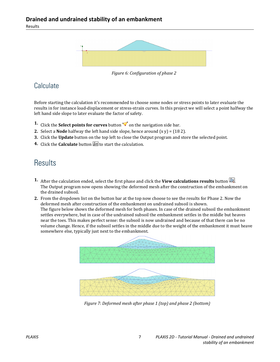Results



*Figure 6: Configuration of phase 2*

### **Calculate**

Before starting the calculation it's recommended to choose some nodes or stress points to later evaluate the results in for instance load-displacement or stress-strain curves. In this project we will select a point halfway the left hand side slope to later evaluate the factor of safety.

- **1.** Click the **Select points for curves** button  $\blacktriangledown$  on the navigation side bar.
- **2.** Select a **Node** halfway the left hand side slope, hence around  $(x, y) = (182)$ .
- **3.** Click the **Update** button on the top left to close the Output program and store the selected point.
- **4.** Click the **Calculate** button  $\mathbb{F}$  to start the calculation.

## **Results**

- **1.** After the calculation ended, select the first phase and click the **View calculations results** button . The Output program now opens showing the deformed mesh after the construction of the embankment on the drained subsoil.
- **2.** From the dropdown list on the button bar at the top now choose to see the results for Phase 2. Now the deformed mesh after construction of the embankment on undrained subsoil is shown. The figure below shows the deformed mesh for both phases. In case of the drained subsoil the embankment settles everywhere, but in case of the undrained subsoil the embankment settles in the middle but heaves near the toes. This makes perfect sense: the subsoil is now undrained and because of that there can be no volume change. Hence, if the subsoil settles in the middle due to the weight of the embankment it must heave somewhere else, typically just next to the embankment.



*Figure 7: Deformed mesh after phase 1 (top) and phase 2 (bottom)*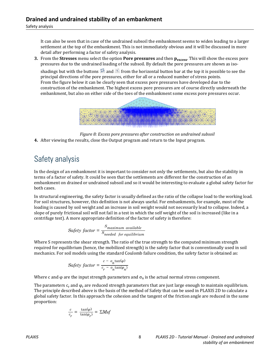It can also be seen that in case of the undrained subsoil the embankment seems to widen leading to a larger settlement at the top of the embankment. This is not immediately obvious and it will be discussed in more detail after performing a factor of safety analysis.

**3.** From the **Stresses** menu select the option **Pore pressures** and then **pexcess**. This will show the excess pore pressures due to the undrained loading of the subsoil. By default the pore pressures are shown as iso-

shadings but with the buttons  $\frac{1}{2}$  and  $\frac{1}{2}$  from the horizontal button bar at the top it is possible to see the principal directions of the pore pressures, either for all or a reduced number of stress points. From the figure below it can be clearly seen that excess pore pressures have developed due to the construction of the embankment. The highest excess pore pressures are of course directly underneath the embankment, but also on either side of the toes of the embankment some excess pore pressures occur.



*Figure 8: Excess pore pressures after construction on undrained subsoil* **4.** After viewing the results, close the Output program and return to the Input program.

# Safety analysis

In the design of an embankment it is important to consider not only the settlements, but also the stability in terms of a factor of safety. It could be seen that the settlements are different for the construction of an embankment on drained or undrained subsoil and so it would be interesting to evaluate a global safety factor for both cases.

In structural engineering, the safety factor is usually defined as the ratio of the collapse load to the working load. For soil structures, however, this definition is not always useful. For embankments, for example, most of the loading is caused by soil weight and an increase in soil weight would not necessarily lead to collapse. Indeed, a slope of purely frictional soil will not fail in a test in which the self weight of the soil is increased (like in a centrifuge test). A more appropriate definition of the factor of safety is therefore:

Safety factor = 
$$
\frac{S_{maximum\ available}}{S_{needed\ for\ equilibrium}}
$$

Where S represents the shear strength. The ratio of the true strength to the computed minimum strength required for equilibrium (hence, the mobilized strength) is the safety factor that is conventionally used in soil mechanics. For soil models using the standard Coulomb failure condition, the safety factor is obtained as:

$$
Safety\ factor = \frac{c - o_n \tan(\varphi)}{c_r - o_n \tan(\varphi_n)}
$$

Where c and  $\varphi$  are the input strength parameters and  $\sigma_n$  is the actual normal stress component.

The parameters  $\mathsf{c}_\mathrm{r}$  and  $\pmb{\phi}_\mathrm{r}$  are reduced strength parameters that are just large enough to maintain equilibrium. The principle described above is the basis of the method of Safety that can be used in PLAXIS 2D to calculate a global safety factor. In this approach the cohesion and the tangent of the friction angle are reduced in the same proportion:

$$
\frac{c}{c_r} = \frac{\tan(\varphi)}{\tan(\varphi_r)} = \Sigma Msf
$$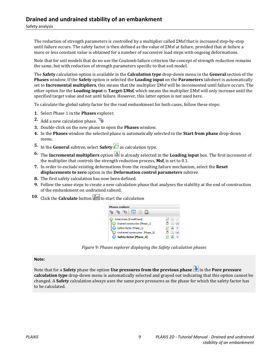Safety analysis

The reduction of strength parameters is controlled by a multiplier called ΣMsf that is increased step-by-step until failure occurs. The safety factor is then defined as the value of ΣMsf at failure, provided that at failure a more or less constant value is obtained for a number of successive load steps with ongoing deformations.

Note that for soil models that do no use the Coulomb failure criterion the concept of strength reduction remains the same, but with reduction of strength parameters specific to that soil model.

The **Safety** calculation option is available in the **Calculation type** drop-down menu in the **General** section of the **Phases** window. If the **Safety** option is selected the **Loading input** on the **Parameters** tabsheet is automatically set to **Incremental multipliers**, this means that the multiplier ΣMsf will be incremented until failure occurs. The other option for the **Loading input** is **Target-ΣMsf**, which means the multiplier ΣMsf will only increase until the specified target value and not until failure. However, this latter option is not used here.

To calculate the global safety factor for the road embankment for both cases, follow these steps:

- **1.** Select Phase 1 in the **Phases** explorer.
- 2. Add a new calculation phase.
- **3.** Double-click on the new phase to open the **Phases** window.
- **4.** In the **Phases** window the selected phase is automatically selected in the **Start from phase** drop-down menu.
- **5.** In the **General** subtree, select **Safety**  $\bigcap$  as calculation type.
- **6.** The **Incremental multipliers** option  $\Delta$  is already selected in the **Loading input** box. The first increment of the multiplier that controls the strength reduction process, **Msf**, is set to 0.1.
- **7.** In order to exclude existing deformations from the resulting failure mechanism, select the **Reset displacements to zero** option in the **Deformation control parameters** subtree.
- **8.** The first safety calculation has now been defined.
- **9.** Follow the same steps to create a new calculation phase that analyses the stability at the end of construction of the embankment on undrained subsoil.
- **10.** Click the **Calculate** button  $\begin{bmatrix} \sqrt{4} \\ 4 \end{bmatrix}$  to start the calculation



*Figure 9: Phases explorer displaying the Safety calculation phases*

**Note:**

Note that for a **Safety** phase the option **Use pressures from the previous phase** in the **Pore pressure calculation type** drop-down menu is automatically selected and grayed out indicating that this option cannot be changed. A **Safety** calculation always uses the same pore pressures as the phase for which the safety factor has to be calculated.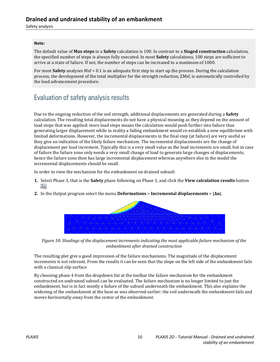Safety analysis

#### **Note:**

The default value of **Max steps** in a **Safety** calculation is 100. In contrast to a **Staged construction** calculation, the specified number of steps is always fully executed. In most **Safety** calculations, 100 steps are sufficient to arrive at a state of failure. If not, the number of steps can be increased to a maximum of 1000.

For most **Safety** analyses Msf = 0.1 is an adequate first step to start up the process. During the calculation process, the development of the total multiplier for the strength reduction, ΣMsf, is automatically controlled by the load advancement procedure.

### Evaluation of safety analysis results

Due to the ongoing reduction of the soil strength, additional displacements are generated during a **Safety** calculation. The resulting total displacements do not have a physical meaning as they depend on the amount of load steps that was applied: more load steps means the calculation would push further into failure thus generating larger displacement while in reality a failing embankment would re-establish a new equilibrium with limited deformations. However, the incremental displacements in the final step (at failure) are very useful as they give an indication of the likely failure mechanism. The incremental displacements are the change of displacement per load increment. Typically this is a very small value as the load increments are small, but in case of failure the failure zone only needs a very small change of load to generate large changes of displacements, hence the failure zone then has large incremental displacement whereas anywhere else in the model the incremental displacements should be small.

In order to view the mechanism for the embankment on drained subsoil:

- **1.** Select Phase 3, that is the **Safety** phase following on Phase 1, and click the **View calculation results** button **.c**y
- **2.** In the Output program select the menu **Deformations** > **Incremental displacements** > **|Δu|**.



*Figure 10: Shadings of the displacement increments indicating the most applicable failure mechanism of the embankment after drained construction*

The resulting plot give a good impression of the failure mechanisms. The magnitude of the displacement increments is not relevant. From the results it can be seen that the slope on the left side of the embankment fails with a classical slip surface

By choosing phase 4 from the dropdown list at the toolbar the failure mechanism for the embankment constructed on undrained subsoil can be evaluated. The failure mechanism is no longer limited to just the embankment, but is in fact mostly a failure of the subsoil underneath the embankment. This also explains the widening of the embankment at the base as was observed earlier: the soil underneath the embankment fails and moves horizontally away from the center of the embankment.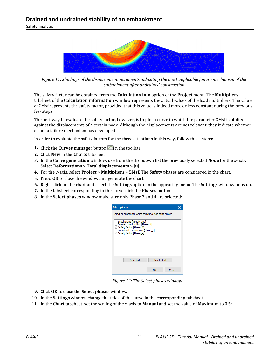Safety analysis



*Figure 11: Shadings of the displacement increments indicating the most applicable failure mechanism of the embankment after undrained construction*

The safety factor can be obtained from the **Calculation info** option of the **Project** menu. The **Multipliers** tabsheet of the **Calculation information** window represents the actual values of the load multipliers. The value of ΣMsf represents the safety factor, provided that this value is indeed more or less constant during the previous few steps.

The best way to evaluate the safety factor, however, is to plot a curve in which the parameter ΣMsf is plotted against the displacements of a certain node. Although the displacements are not relevant, they indicate whether or not a failure mechanism has developed.

In order to evaluate the safety factors for the three situations in this way, follow these steps:

- **1.** Click the **Curves manager** button  $\Box$  in the toolbar.
- **2.** Click **New** in the **Charts** tabsheet.
- **3.** In the **Curve generation** window, use from the dropdown list the previously selected **Node** for the x-axis. Select **Deformations** > **Total displacements** > **|u|**.
- **4.** For the y-axis, select **Project** > **Multipliers** > **ΣMsf**. The **Safety** phases are considered in the chart.
- **5.** Press **OK** to close the window and generate the chart.
- **6.** Right-click on the chart and select the **Settings** option in the appearing menu. The **Settings** window pops up.
- **7.** In the tabsheet corresponding to the curve click the **Phases** button.
- **8.** In the **Select phases** window make sure only Phase 3 and 4 are selected:

| <b>Select phases</b>                                                                                                                                                                                               |  |
|--------------------------------------------------------------------------------------------------------------------------------------------------------------------------------------------------------------------|--|
| Select all phases for which this curve has to be shown<br>Initial phase [InitialPhase]<br>Drained construction [Phase 1]<br>Safety factor [Phase 2]<br>Undrained construction [Phase 3]<br>Safety factor [Phase 4] |  |
|                                                                                                                                                                                                                    |  |

*Figure 12: The Select phases window*

- **9.** Click **OK** to close the **Select phases** window.
- **10.** In the **Settings** window change the titles of the curve in the corresponding tabsheet.
- **11.** In the **Chart** tabsheet, set the scaling of the x-axis to **Manual** and set the value of **Maximum** to 0.5: